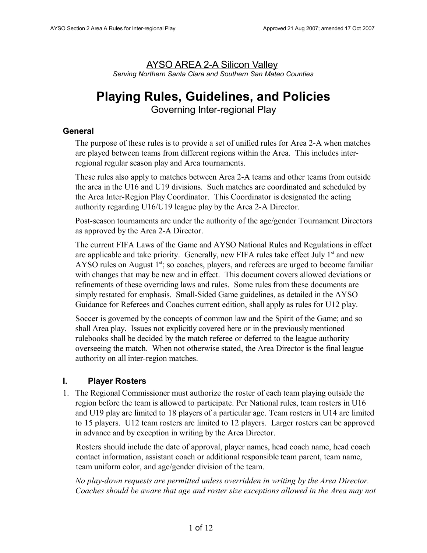# AYSO AREA 2-A Silicon Valley *Serving Northern Santa Clara and Southern San Mateo Counties*

# **Playing Rules, Guidelines, and Policies**

Governing Inter-regional Play

# **General**

The purpose of these rules is to provide a set of unified rules for Area 2-A when matches are played between teams from different regions within the Area. This includes interregional regular season play and Area tournaments.

These rules also apply to matches between Area 2-A teams and other teams from outside the area in the U16 and U19 divisions. Such matches are coordinated and scheduled by the Area Inter-Region Play Coordinator. This Coordinator is designated the acting authority regarding U16/U19 league play by the Area 2-A Director.

Post-season tournaments are under the authority of the age/gender Tournament Directors as approved by the Area 2-A Director.

The current FIFA Laws of the Game and AYSO National Rules and Regulations in effect are applicable and take priority. Generally, new FIFA rules take effect July  $1<sup>st</sup>$  and new AYSO rules on August  $1<sup>st</sup>$ ; so coaches, players, and referees are urged to become familiar with changes that may be new and in effect. This document covers allowed deviations or refinements of these overriding laws and rules. Some rules from these documents are simply restated for emphasis. Small-Sided Game guidelines, as detailed in the AYSO Guidance for Referees and Coaches current edition, shall apply as rules for U12 play.

Soccer is governed by the concepts of common law and the Spirit of the Game; and so shall Area play. Issues not explicitly covered here or in the previously mentioned rulebooks shall be decided by the match referee or deferred to the league authority overseeing the match. When not otherwise stated, the Area Director is the final league authority on all inter-region matches.

# **I. Player Rosters**

1. The Regional Commissioner must authorize the roster of each team playing outside the region before the team is allowed to participate. Per National rules, team rosters in U16 and U19 play are limited to 18 players of a particular age. Team rosters in U14 are limited to 15 players. U12 team rosters are limited to 12 players. Larger rosters can be approved in advance and by exception in writing by the Area Director.

Rosters should include the date of approval, player names, head coach name, head coach contact information, assistant coach or additional responsible team parent, team name, team uniform color, and age/gender division of the team.

*No play-down requests are permitted unless overridden in writing by the Area Director. Coaches should be aware that age and roster size exceptions allowed in the Area may not*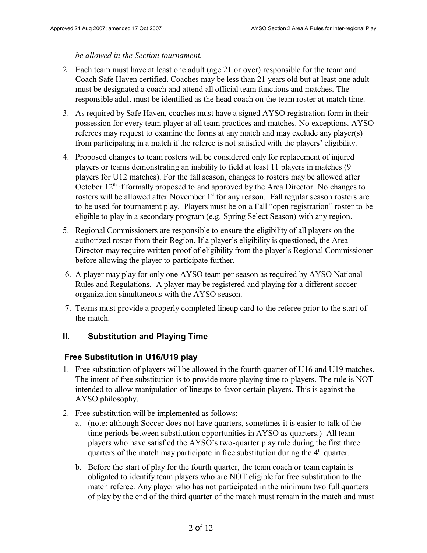#### *be allowed in the Section tournament.*

- 2. Each team must have at least one adult (age 21 or over) responsible for the team and Coach Safe Haven certified. Coaches may be less than 21 years old but at least one adult must be designated a coach and attend all official team functions and matches. The responsible adult must be identified as the head coach on the team roster at match time.
- 3. As required by Safe Haven, coaches must have a signed AYSO registration form in their possession for every team player at all team practices and matches. No exceptions. AYSO referees may request to examine the forms at any match and may exclude any player(s) from participating in a match if the referee is not satisfied with the players' eligibility.
- 4. Proposed changes to team rosters will be considered only for replacement of injured players or teams demonstrating an inability to field at least 11 players in matches (9 players for U12 matches). For the fall season, changes to rosters may be allowed after October  $12<sup>th</sup>$  if formally proposed to and approved by the Area Director. No changes to rosters will be allowed after November  $1<sup>st</sup>$  for any reason. Fall regular season rosters are to be used for tournament play. Players must be on a Fall "open registration" roster to be eligible to play in a secondary program (e.g. Spring Select Season) with any region.
- 5. Regional Commissioners are responsible to ensure the eligibility of all players on the authorized roster from their Region. If a player's eligibility is questioned, the Area Director may require written proof of eligibility from the player's Regional Commissioner before allowing the player to participate further.
- 6. A player may play for only one AYSO team per season as required by AYSO National Rules and Regulations. A player may be registered and playing for a different soccer organization simultaneous with the AYSO season.
- 7. Teams must provide a properly completed lineup card to the referee prior to the start of the match.

#### **II. Substitution and Playing Time**

#### **Free Substitution in U16/U19 play**

- 1. Free substitution of players will be allowed in the fourth quarter of U16 and U19 matches. The intent of free substitution is to provide more playing time to players. The rule is NOT intended to allow manipulation of lineups to favor certain players. This is against the AYSO philosophy.
- 2. Free substitution will be implemented as follows:
	- a. (note: although Soccer does not have quarters, sometimes it is easier to talk of the time periods between substitution opportunities in AYSO as quarters.) All team players who have satisfied the AYSO's two-quarter play rule during the first three quarters of the match may participate in free substitution during the  $4<sup>th</sup>$  quarter.
	- b. Before the start of play for the fourth quarter, the team coach or team captain is obligated to identify team players who are NOT eligible for free substitution to the match referee. Any player who has not participated in the minimum two full quarters of play by the end of the third quarter of the match must remain in the match and must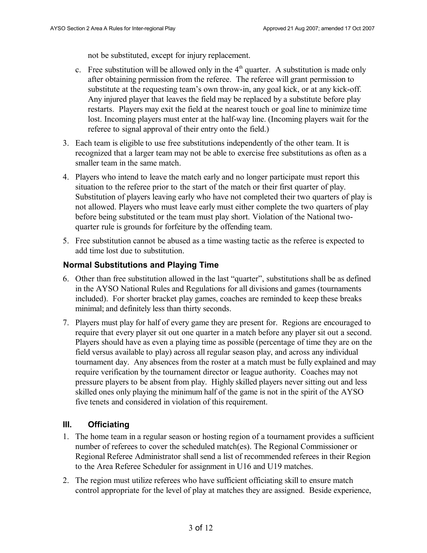not be substituted, except for injury replacement.

- c. Free substitution will be allowed only in the  $4<sup>th</sup>$  quarter. A substitution is made only after obtaining permission from the referee. The referee will grant permission to substitute at the requesting team's own throw-in, any goal kick, or at any kick-off. Any injured player that leaves the field may be replaced by a substitute before play restarts. Players may exit the field at the nearest touch or goal line to minimize time lost. Incoming players must enter at the half-way line. (Incoming players wait for the referee to signal approval of their entry onto the field.)
- 3. Each team is eligible to use free substitutions independently of the other team. It is recognized that a larger team may not be able to exercise free substitutions as often as a smaller team in the same match.
- 4. Players who intend to leave the match early and no longer participate must report this situation to the referee prior to the start of the match or their first quarter of play. Substitution of players leaving early who have not completed their two quarters of play is not allowed. Players who must leave early must either complete the two quarters of play before being substituted or the team must play short. Violation of the National twoquarter rule is grounds for forfeiture by the offending team.
- 5. Free substitution cannot be abused as a time wasting tactic as the referee is expected to add time lost due to substitution.

### **Normal Substitutions and Playing Time**

- 6. Other than free substitution allowed in the last "quarter", substitutions shall be as defined in the AYSO National Rules and Regulations for all divisions and games (tournaments included). For shorter bracket play games, coaches are reminded to keep these breaks minimal; and definitely less than thirty seconds.
- 7. Players must play for half of every game they are present for. Regions are encouraged to require that every player sit out one quarter in a match before any player sit out a second. Players should have as even a playing time as possible (percentage of time they are on the field versus available to play) across all regular season play, and across any individual tournament day. Any absences from the roster at a match must be fully explained and may require verification by the tournament director or league authority. Coaches may not pressure players to be absent from play. Highly skilled players never sitting out and less skilled ones only playing the minimum half of the game is not in the spirit of the AYSO five tenets and considered in violation of this requirement.

# **III. Officiating**

- 1. The home team in a regular season or hosting region of a tournament provides a sufficient number of referees to cover the scheduled match(es). The Regional Commissioner or Regional Referee Administrator shall send a list of recommended referees in their Region to the Area Referee Scheduler for assignment in U16 and U19 matches.
- 2. The region must utilize referees who have sufficient officiating skill to ensure match control appropriate for the level of play at matches they are assigned. Beside experience,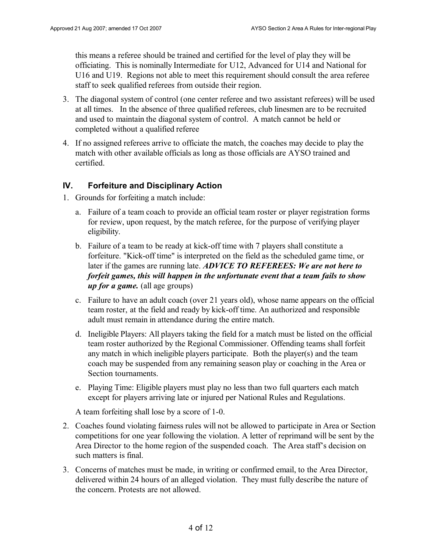this means a referee should be trained and certified for the level of play they will be officiating. This is nominally Intermediate for U12, Advanced for U14 and National for U16 and U19. Regions not able to meet this requirement should consult the area referee staff to seek qualified referees from outside their region.

- 3. The diagonal system of control (one center referee and two assistant referees) will be used at all times. In the absence of three qualified referees, club linesmen are to be recruited and used to maintain the diagonal system of control. A match cannot be held or completed without a qualified referee
- 4. If no assigned referees arrive to officiate the match, the coaches may decide to play the match with other available officials as long as those officials are AYSO trained and certified.

### **IV. Forfeiture and Disciplinary Action**

- 1. Grounds for forfeiting a match include:
	- a. Failure of a team coach to provide an official team roster or player registration forms for review, upon request, by the match referee, for the purpose of verifying player eligibility.
	- b. Failure of a team to be ready at kick-off time with 7 players shall constitute a forfeiture. "Kick-off time" is interpreted on the field as the scheduled game time, or later if the games are running late. *ADVICE TO REFEREES: We are not here to forfeit games, this will happen in the unfortunate event that a team fails to show up for a game.* (all age groups)
	- c. Failure to have an adult coach (over 21 years old), whose name appears on the official team roster, at the field and ready by kick-off time. An authorized and responsible adult must remain in attendance during the entire match.
	- d. Ineligible Players: All players taking the field for a match must be listed on the official team roster authorized by the Regional Commissioner. Offending teams shall forfeit any match in which ineligible players participate. Both the player(s) and the team coach may be suspended from any remaining season play or coaching in the Area or Section tournaments.
	- e. Playing Time: Eligible players must play no less than two full quarters each match except for players arriving late or injured per National Rules and Regulations.

A team forfeiting shall lose by a score of 1-0.

- 2. Coaches found violating fairness rules will not be allowed to participate in Area or Section competitions for one year following the violation. A letter of reprimand will be sent by the Area Director to the home region of the suspended coach. The Area staff's decision on such matters is final.
- 3. Concerns of matches must be made, in writing or confirmed email, to the Area Director, delivered within 24 hours of an alleged violation. They must fully describe the nature of the concern. Protests are not allowed.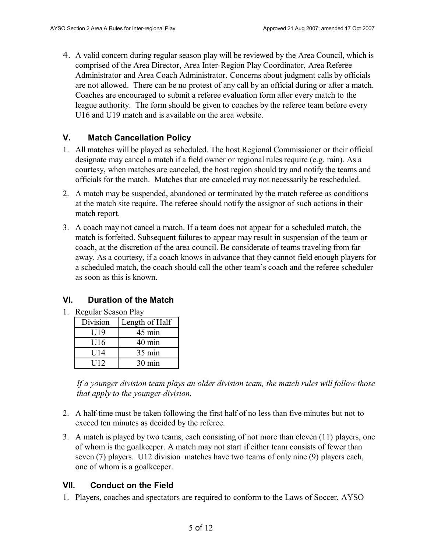4. A valid concern during regular season play will be reviewed by the Area Council, which is comprised of the Area Director, Area Inter-Region Play Coordinator, Area Referee Administrator and Area Coach Administrator. Concerns about judgment calls by officials are not allowed. There can be no protest of any call by an official during or after a match. Coaches are encouraged to submit a referee evaluation form after every match to the league authority. The form should be given to coaches by the referee team before every U16 and U19 match and is available on the area website.

# **V. Match Cancellation Policy**

- 1. All matches will be played as scheduled. The host Regional Commissioner or their official designate may cancel a match if a field owner or regional rules require (e.g. rain). As a courtesy, when matches are canceled, the host region should try and notify the teams and officials for the match. Matches that are canceled may not necessarily be rescheduled.
- 2. A match may be suspended, abandoned or terminated by the match referee as conditions at the match site require. The referee should notify the assignor of such actions in their match report.
- 3. A coach may not cancel a match. If a team does not appear for a scheduled match, the match is forfeited. Subsequent failures to appear may result in suspension of the team or coach, at the discretion of the area council. Be considerate of teams traveling from far away. As a courtesy, if a coach knows in advance that they cannot field enough players for a scheduled match, the coach should call the other team's coach and the referee scheduler as soon as this is known.

# **VI. Duration of the Match**

1. Regular Season Play

| Division | Length of Half   |
|----------|------------------|
| U19      | 45 min           |
| U16      | $40 \text{ min}$ |
| U14      | $35 \text{ min}$ |
| U12      | 30 min           |

*If a younger division team plays an older division team, the match rules will follow those that apply to the younger division.*

- 2. A half-time must be taken following the first half of no less than five minutes but not to exceed ten minutes as decided by the referee.
- 3. A match is played by two teams, each consisting of not more than eleven (11) players, one of whom is the goalkeeper. A match may not start if either team consists of fewer than seven (7) players. U12 division matches have two teams of only nine (9) players each, one of whom is a goalkeeper.

# **VII. Conduct on the Field**

1. Players, coaches and spectators are required to conform to the Laws of Soccer, AYSO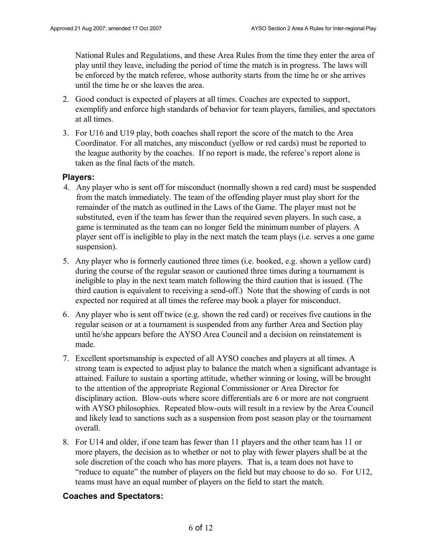National Rules and Regulations, and these Area Rules from the time they enter the area of play until they leave, including the period of time the match is in progress. The laws will be enforced by the match referee, whose authority starts from the time he or she arrives until the time he or she leaves the area.

- 2. Good conduct is expected of players at all times. Coaches are expected to support, exemplify and enforce high standards of behavior for team players, families, and spectators at all times.
- 3. For U16 and U19 play, both coaches shall report the score of the match to the Area Coordinator. For all matches, any misconduct (yellow or red cards) must be reported to the league authority by the coaches. If no report is made, the referee's report alone is taken as the final facts of the match.

#### **Players:**

- 4. Any player who is sent off for misconduct (normally shown a red card) must be suspended from the match immediately. The team of the offending player must play short for the remainder of the match as outlined in the Laws of the Game. The player must not be substituted, even if the team has fewer than the required seven players. In such case, a game is terminated as the team can no longer field the minimum number of players. A player sent off is ineligible to play in the next match the team plays (i.e. serves a one game suspension).
- 5. Any player who is formerly cautioned three times (i.e. booked, e.g. shown a yellow card) during the course of the regular season or cautioned three times during a tournament is ineligible to play in the next team match following the third caution that is issued. (The third caution is equivalent to receiving a send-off.) Note that the showing of cards is not expected nor required at all times the referee may book a player for misconduct.
- 6. Any player who is sent off twice (e.g. shown the red card) or receives five cautions in the regular season or at a tournament is suspended from any further Area and Section play until he/she appears before the AYSO Area Council and a decision on reinstatement is made.
- 7. Excellent sportsmanship is expected of all AYSO coaches and players at all times. A strong team is expected to adjust play to balance the match when a significant advantage is attained. Failure to sustain a sporting attitude, whether winning or losing, will be brought to the attention of the appropriate Regional Commissioner or Area Director for disciplinary action. Blow-outs where score differentials are 6 or more are not congruent with AYSO philosophies. Repeated blow-outs will result in a review by the Area Council and likely lead to sanctions such as a suspension from post season play or the tournament overall.
- 8. For U14 and older, if one team has fewer than 11 players and the other team has 11 or more players, the decision as to whether or not to play with fewer players shall be at the sole discretion of the coach who has more players. That is, a team does not have to "reduce to equate" the number of players on the field but may choose to do so. For U12, teams must have an equal number of players on the field to start the match.

# **Coaches and Spectators:**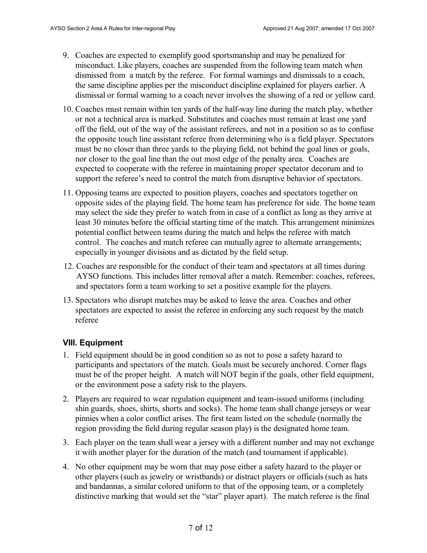- 9. Coaches are expected to exemplify good sportsmanship and may be penalized for misconduct. Like players, coaches are suspended from the following team match when dismissed from a match by the referee. For formal warnings and dismissals to a coach, the same discipline applies per the misconduct discipline explained for players earlier. A dismissal or formal warning to a coach never involves the showing of a red or yellow card.
- 10. Coaches must remain within ten yards of the half-way line during the match play, whether or not a technical area is marked. Substitutes and coaches must remain at least one yard off the field, out of the way of the assistant referees, and not in a position so as to confuse the opposite touch line assistant referee from determining who is a field player. Spectators must be no closer than three yards to the playing field, not behind the goal lines or goals, nor closer to the goal line than the out most edge of the penalty area. Coaches are expected to cooperate with the referee in maintaining proper spectator decorum and to support the referee's need to control the match from disruptive behavior of spectators.
- 11. Opposing teams are expected to position players, coaches and spectators together on opposite sides of the playing field. The home team has preference for side. The home team may select the side they prefer to watch from in case of a conflict as long as they arrive at least 30 minutes before the official starting time of the match. This arrangement minimizes potential conflict between teams during the match and helps the referee with match control. The coaches and match referee can mutually agree to alternate arrangements; especially in younger divisions and as dictated by the field setup.
- 12. Coaches are responsible for the conduct of their team and spectators at all times during AYSO functions. This includes litter removal after a match. Remember: coaches, referees, and spectators form a team working to set a positive example for the players.
- 13. Spectators who disrupt matches may be asked to leave the area. Coaches and other spectators are expected to assist the referee in enforcing any such request by the match referee

# **VIII. Equipment**

- 1. Field equipment should be in good condition so as not to pose a safety hazard to participants and spectators of the match. Goals must be securely anchored. Corner flags must be of the proper height. A match will NOT begin if the goals, other field equipment, or the environment pose a safety risk to the players.
- 2. Players are required to wear regulation equipment and team-issued uniforms (including shin guards, shoes, shirts, shorts and socks). The home team shall change jerseys or wear pinnies when a color conflict arises. The first team listed on the schedule (normally the region providing the field during regular season play) is the designated home team.
- 3. Each player on the team shall wear a jersey with a different number and may not exchange it with another player for the duration of the match (and tournament if applicable).
- 4. No other equipment may be worn that may pose either a safety hazard to the player or other players (such as jewelry or wristbands) or distract players or officials (such as hats and bandannas, a similar colored uniform to that of the opposing team, or a completely distinctive marking that would set the "star" player apart). The match referee is the final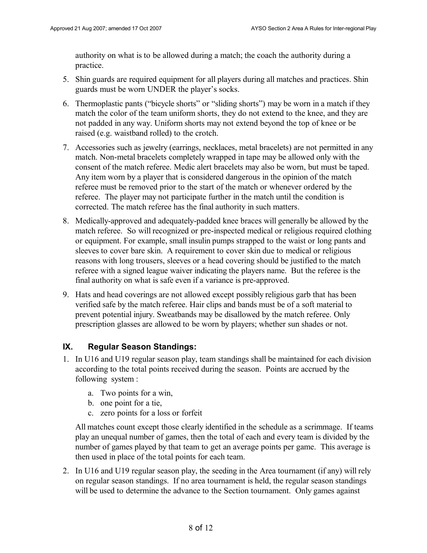authority on what is to be allowed during a match; the coach the authority during a practice.

- 5. Shin guards are required equipment for all players during all matches and practices. Shin guards must be worn UNDER the player's socks.
- 6. Thermoplastic pants ("bicycle shorts" or "sliding shorts") may be worn in a match if they match the color of the team uniform shorts, they do not extend to the knee, and they are not padded in any way. Uniform shorts may not extend beyond the top of knee or be raised (e.g. waistband rolled) to the crotch.
- 7. Accessories such as jewelry (earrings, necklaces, metal bracelets) are not permitted in any match. Non-metal bracelets completely wrapped in tape may be allowed only with the consent of the match referee. Medic alert bracelets may also be worn, but must be taped. Any item worn by a player that is considered dangerous in the opinion of the match referee must be removed prior to the start of the match or whenever ordered by the referee. The player may not participate further in the match until the condition is corrected. The match referee has the final authority in such matters.
- 8. Medically-approved and adequately-padded knee braces will generally be allowed by the match referee. So will recognized or pre-inspected medical or religious required clothing or equipment. For example, small insulin pumps strapped to the waist or long pants and sleeves to cover bare skin. A requirement to cover skin due to medical or religious reasons with long trousers, sleeves or a head covering should be justified to the match referee with a signed league waiver indicating the players name. But the referee is the final authority on what is safe even if a variance is pre-approved.
- 9. Hats and head coverings are not allowed except possibly religious garb that has been verified safe by the match referee. Hair clips and bands must be of a soft material to prevent potential injury. Sweatbands may be disallowed by the match referee. Only prescription glasses are allowed to be worn by players; whether sun shades or not.

# **IX. Regular Season Standings:**

- 1. In U16 and U19 regular season play, team standings shall be maintained for each division according to the total points received during the season. Points are accrued by the following system :
	- a. Two points for a win,
	- b. one point for a tie,
	- c. zero points for a loss or forfeit

All matches count except those clearly identified in the schedule as a scrimmage. If teams play an unequal number of games, then the total of each and every team is divided by the number of games played by that team to get an average points per game. This average is then used in place of the total points for each team.

2. In U16 and U19 regular season play, the seeding in the Area tournament (if any) will rely on regular season standings. If no area tournament is held, the regular season standings will be used to determine the advance to the Section tournament. Only games against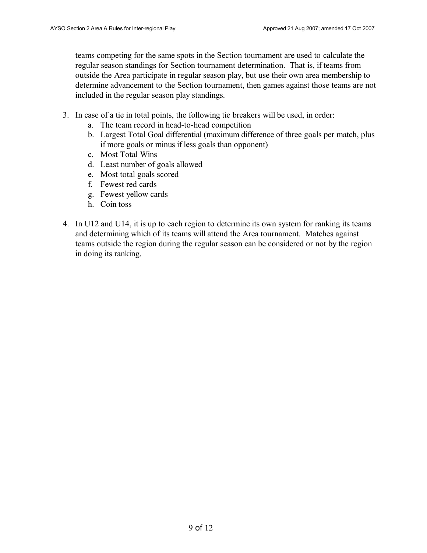teams competing for the same spots in the Section tournament are used to calculate the regular season standings for Section tournament determination. That is, if teams from outside the Area participate in regular season play, but use their own area membership to determine advancement to the Section tournament, then games against those teams are not included in the regular season play standings.

- 3. In case of a tie in total points, the following tie breakers will be used, in order:
	- a. The team record in head-to-head competition
	- b. Largest Total Goal differential (maximum difference of three goals per match, plus if more goals or minus if less goals than opponent)
	- c. Most Total Wins
	- d. Least number of goals allowed
	- e. Most total goals scored
	- f. Fewest red cards
	- g. Fewest yellow cards
	- h. Coin toss
- 4. In U12 and U14, it is up to each region to determine its own system for ranking its teams and determining which of its teams will attend the Area tournament. Matches against teams outside the region during the regular season can be considered or not by the region in doing its ranking.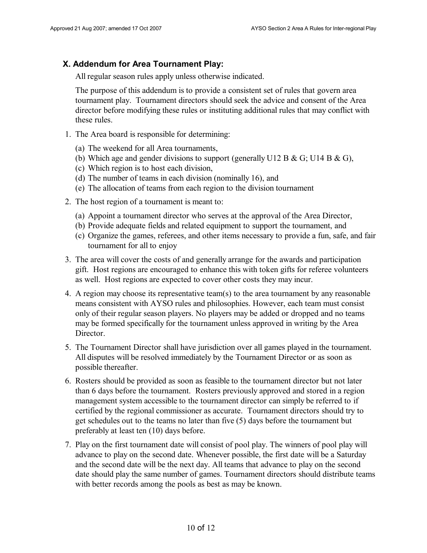#### **X. Addendum for Area Tournament Play:**

All regular season rules apply unless otherwise indicated.

The purpose of this addendum is to provide a consistent set of rules that govern area tournament play. Tournament directors should seek the advice and consent of the Area director before modifying these rules or instituting additional rules that may conflict with these rules.

- 1. The Area board is responsible for determining:
	- (a) The weekend for all Area tournaments,
	- (b) Which age and gender divisions to support (generally U12 B & G; U14 B & G),
	- (c) Which region is to host each division,
	- (d) The number of teams in each division (nominally 16), and
	- (e) The allocation of teams from each region to the division tournament
- 2. The host region of a tournament is meant to:
	- (a) Appoint a tournament director who serves at the approval of the Area Director,
	- (b) Provide adequate fields and related equipment to support the tournament, and
	- (c) Organize the games, referees, and other items necessary to provide a fun, safe, and fair tournament for all to enjoy
- 3. The area will cover the costs of and generally arrange for the awards and participation gift. Host regions are encouraged to enhance this with token gifts for referee volunteers as well. Host regions are expected to cover other costs they may incur.
- 4. A region may choose its representative team(s) to the area tournament by any reasonable means consistent with AYSO rules and philosophies. However, each team must consist only of their regular season players. No players may be added or dropped and no teams may be formed specifically for the tournament unless approved in writing by the Area Director.
- 5. The Tournament Director shall have jurisdiction over all games played in the tournament. All disputes will be resolved immediately by the Tournament Director or as soon as possible thereafter.
- 6. Rosters should be provided as soon as feasible to the tournament director but not later than 6 days before the tournament. Rosters previously approved and stored in a region management system accessible to the tournament director can simply be referred to if certified by the regional commissioner as accurate. Tournament directors should try to get schedules out to the teams no later than five (5) days before the tournament but preferably at least ten (10) days before.
- 7. Play on the first tournament date will consist of pool play. The winners of pool play will advance to play on the second date. Whenever possible, the first date will be a Saturday and the second date will be the next day. All teams that advance to play on the second date should play the same number of games. Tournament directors should distribute teams with better records among the pools as best as may be known.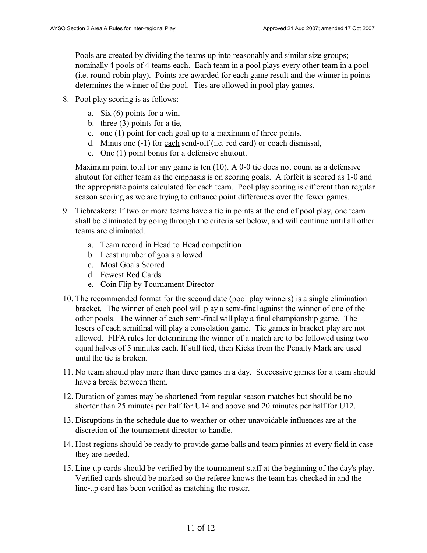Pools are created by dividing the teams up into reasonably and similar size groups; nominally 4 pools of 4 teams each. Each team in a pool plays every other team in a pool (i.e. round-robin play). Points are awarded for each game result and the winner in points determines the winner of the pool. Ties are allowed in pool play games.

- 8. Pool play scoring is as follows:
	- a. Six (6) points for a win,
	- b. three (3) points for a tie,
	- c. one (1) point for each goal up to a maximum of three points.
	- d. Minus one (-1) for each send-off (i.e. red card) or coach dismissal,
	- e. One (1) point bonus for a defensive shutout.

Maximum point total for any game is ten (10). A 0-0 tie does not count as a defensive shutout for either team as the emphasis is on scoring goals. A forfeit is scored as 1-0 and the appropriate points calculated for each team. Pool play scoring is different than regular season scoring as we are trying to enhance point differences over the fewer games.

- 9. Tiebreakers: If two or more teams have a tie in points at the end of pool play, one team shall be eliminated by going through the criteria set below, and will continue until all other teams are eliminated.
	- a. Team record in Head to Head competition
	- b. Least number of goals allowed
	- c. Most Goals Scored
	- d. Fewest Red Cards
	- e. Coin Flip by Tournament Director
- 10. The recommended format for the second date (pool play winners) is a single elimination bracket. The winner of each pool will play a semi-final against the winner of one of the other pools. The winner of each semi-final will play a final championship game. The losers of each semifinal will play a consolation game. Tie games in bracket play are not allowed. FIFA rules for determining the winner of a match are to be followed using two equal halves of 5 minutes each. If still tied, then Kicks from the Penalty Mark are used until the tie is broken.
- 11. No team should play more than three games in a day. Successive games for a team should have a break between them.
- 12. Duration of games may be shortened from regular season matches but should be no shorter than 25 minutes per half for U14 and above and 20 minutes per half for U12.
- 13. Disruptions in the schedule due to weather or other unavoidable influences are at the discretion of the tournament director to handle.
- 14. Host regions should be ready to provide game balls and team pinnies at every field in case they are needed.
- 15. Line-up cards should be verified by the tournament staff at the beginning of the day's play. Verified cards should be marked so the referee knows the team has checked in and the line-up card has been verified as matching the roster.